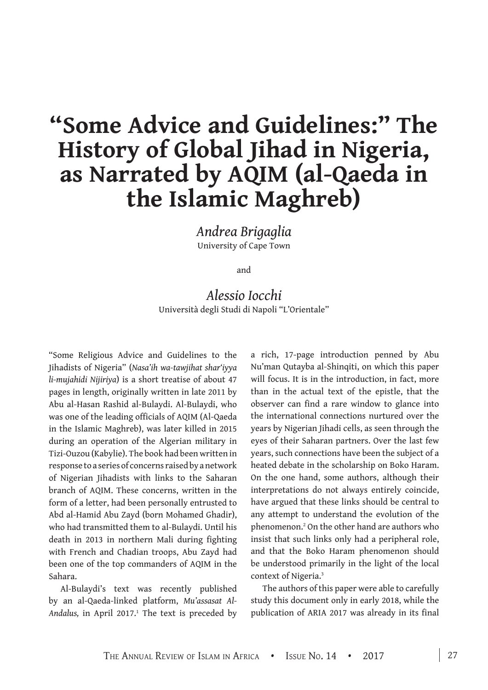# **"Some Advice and Guidelines:" The History of Global Jihad in Nigeria, as Narrated by AQIM (al-Qaeda in the Islamic Maghreb)**

*Andrea Brigaglia*  University of Cape Town

and

## *Alessio Iocchi*  Università degli Studi di Napoli "L'Orientale"

"Some Religious Advice and Guidelines to the Jihadists of Nigeria" (*Nasa'ih wa-tawjihat shar'iyya li-mujahidi Nijiriya*) is a short treatise of about 47 pages in length, originally written in late 2011 by Abu al-Hasan Rashid al-Bulaydi. Al-Bulaydi, who was one of the leading officials of AQIM (Al-Qaeda in the Islamic Maghreb), was later killed in 2015 during an operation of the Algerian military in Tizi-Ouzou (Kabylie). The book had been written in response to a series of concerns raised by a network of Nigerian Jihadists with links to the Saharan branch of AQIM. These concerns, written in the form of a letter, had been personally entrusted to Abd al-Hamid Abu Zayd (born Mohamed Ghadir), who had transmitted them to al-Bulaydi. Until his death in 2013 in northern Mali during fighting with French and Chadian troops, Abu Zayd had been one of the top commanders of AQIM in the Sahara.

Al-Bulaydi's text was recently published by an al-Qaeda-linked platform, *Mu'assasat Al-*Andalus, in April 2017.<sup>1</sup> The text is preceded by a rich, 17-page introduction penned by Abu Nu'man Qutayba al-Shinqiti, on which this paper will focus. It is in the introduction, in fact, more than in the actual text of the epistle, that the observer can find a rare window to glance into the international connections nurtured over the years by Nigerian Jihadi cells, as seen through the eyes of their Saharan partners. Over the last few years, such connections have been the subject of a heated debate in the scholarship on Boko Haram. On the one hand, some authors, although their interpretations do not always entirely coincide, have argued that these links should be central to any attempt to understand the evolution of the phenomenon.2 On the other hand are authors who insist that such links only had a peripheral role, and that the Boko Haram phenomenon should be understood primarily in the light of the local context of Nigeria.3

The authors of this paper were able to carefully study this document only in early 2018, while the publication of ARIA 2017 was already in its final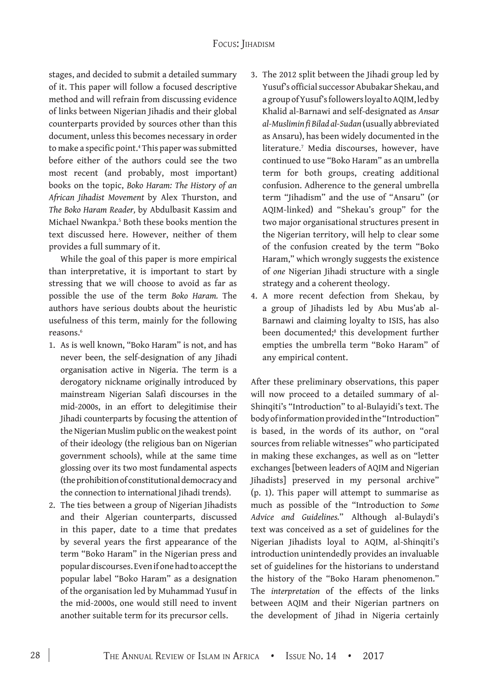stages, and decided to submit a detailed summary of it. This paper will follow a focused descriptive method and will refrain from discussing evidence of links between Nigerian Jihadis and their global counterparts provided by sources other than this document, unless this becomes necessary in order to make a specific point.<sup>4</sup> This paper was submitted before either of the authors could see the two most recent (and probably, most important) books on the topic, *Boko Haram: The History of an African Jihadist Movement* by Alex Thurston, and *The Boko Haram Reader,* by Abdulbasit Kassim and Michael Nwankpa.5 Both these books mention the text discussed here. However, neither of them provides a full summary of it.

While the goal of this paper is more empirical than interpretative, it is important to start by stressing that we will choose to avoid as far as possible the use of the term *Boko Haram.* The authors have serious doubts about the heuristic usefulness of this term, mainly for the following reasons.6

- 1. As is well known, "Boko Haram" is not, and has never been, the self-designation of any Jihadi organisation active in Nigeria. The term is a derogatory nickname originally introduced by mainstream Nigerian Salafi discourses in the mid-2000s, in an effort to delegitimise their Jihadi counterparts by focusing the attention of the Nigerian Muslim public on the weakest point of their ideology (the religious ban on Nigerian government schools), while at the same time glossing over its two most fundamental aspects (the prohibition of constitutional democracy and the connection to international Jihadi trends).
- 2. The ties between a group of Nigerian Jihadists and their Algerian counterparts, discussed in this paper, date to a time that predates by several years the first appearance of the term "Boko Haram" in the Nigerian press and popular discourses. Even if one had to accept the popular label "Boko Haram" as a designation of the organisation led by Muhammad Yusuf in the mid-2000s, one would still need to invent another suitable term for its precursor cells.
- 3. The 2012 split between the Jihadi group led by Yusuf's official successor Abubakar Shekau, and a group of Yusuf's followers loyal to AQIM, led by Khalid al-Barnawi and self-designated as *Ansar al-Muslimin fi Bilad al-Sudan* (usually abbreviated as Ansaru), has been widely documented in the literature.7 Media discourses, however, have continued to use "Boko Haram" as an umbrella term for both groups, creating additional confusion. Adherence to the general umbrella term "Jihadism" and the use of "Ansaru" (or AQIM-linked) and "Shekau's group" for the two major organisational structures present in the Nigerian territory, will help to clear some of the confusion created by the term "Boko Haram," which wrongly suggests the existence of *one* Nigerian Jihadi structure with a single strategy and a coherent theology.
- 4. A more recent defection from Shekau, by a group of Jihadists led by Abu Mus'ab al-Barnawi and claiming loyalty to ISIS, has also been documented;<sup>8</sup> this development further empties the umbrella term "Boko Haram" of any empirical content.

After these preliminary observations, this paper will now proceed to a detailed summary of al-Shinqiti's "Introduction" to al-Bulayidi's text. The body of information provided in the "Introduction" is based, in the words of its author, on "oral sources from reliable witnesses" who participated in making these exchanges, as well as on "letter exchanges [between leaders of AQIM and Nigerian Jihadists] preserved in my personal archive" (p. 1). This paper will attempt to summarise as much as possible of the "Introduction to *Some Advice and Guidelines.*" Although al-Bulaydi's text was conceived as a set of guidelines for the Nigerian Jihadists loyal to AQIM, al-Shinqiti's introduction unintendedly provides an invaluable set of guidelines for the historians to understand the history of the "Boko Haram phenomenon." The *interpretation* of the effects of the links between AQIM and their Nigerian partners on the development of Jihad in Nigeria certainly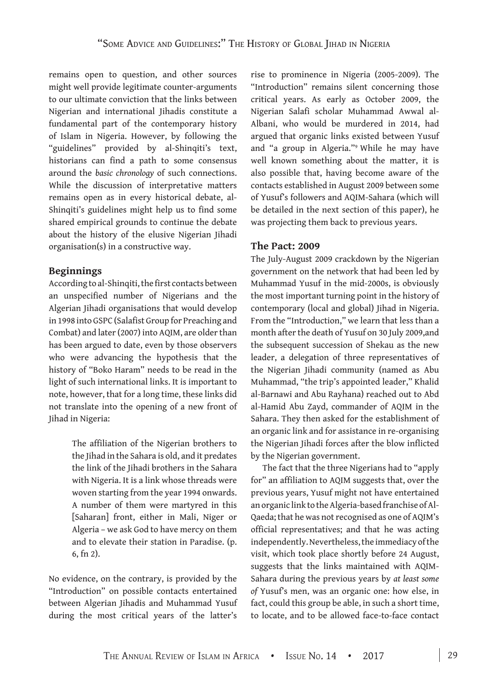remains open to question, and other sources might well provide legitimate counter-arguments to our ultimate conviction that the links between Nigerian and international Jihadis constitute a fundamental part of the contemporary history of Islam in Nigeria. However, by following the "guidelines" provided by al-Shinqiti's text, historians can find a path to some consensus around the *basic chronology* of such connections. While the discussion of interpretative matters remains open as in every historical debate, al-Shinqiti's guidelines might help us to find some shared empirical grounds to continue the debate about the history of the elusive Nigerian Jihadi organisation(s) in a constructive way.

#### **Beginnings**

According to al-Shinqiti, the first contacts between an unspecified number of Nigerians and the Algerian Jihadi organisations that would develop in 1998 into GSPC (Salafist Group for Preaching and Combat) and later (2007) into AQIM, are older than has been argued to date, even by those observers who were advancing the hypothesis that the history of "Boko Haram" needs to be read in the light of such international links. It is important to note, however, that for a long time, these links did not translate into the opening of a new front of Jihad in Nigeria:

> The affiliation of the Nigerian brothers to the Jihad in the Sahara is old, and it predates the link of the Jihadi brothers in the Sahara with Nigeria. It is a link whose threads were woven starting from the year 1994 onwards. A number of them were martyred in this [Saharan] front, either in Mali, Niger or Algeria – we ask God to have mercy on them and to elevate their station in Paradise. (p. 6, fn 2).

No evidence, on the contrary, is provided by the "Introduction" on possible contacts entertained between Algerian Jihadis and Muhammad Yusuf during the most critical years of the latter's

rise to prominence in Nigeria (2005-2009). The "Introduction" remains silent concerning those critical years. As early as October 2009, the Nigerian Salafi scholar Muhammad Awwal al-Albani, who would be murdered in 2014, had argued that organic links existed between Yusuf and "a group in Algeria."9 While he may have well known something about the matter, it is also possible that, having become aware of the contacts established in August 2009 between some of Yusuf's followers and AQIM-Sahara (which will be detailed in the next section of this paper), he was projecting them back to previous years.

#### **The Pact: 2009**

The July-August 2009 crackdown by the Nigerian government on the network that had been led by Muhammad Yusuf in the mid-2000s, is obviously the most important turning point in the history of contemporary (local and global) Jihad in Nigeria. From the "Introduction," we learn that less than a month after the death of Yusuf on 30 July 2009,and the subsequent succession of Shekau as the new leader, a delegation of three representatives of the Nigerian Jihadi community (named as Abu Muhammad, "the trip's appointed leader," Khalid al-Barnawi and Abu Rayhana) reached out to Abd al-Hamid Abu Zayd, commander of AQIM in the Sahara. They then asked for the establishment of an organic link and for assistance in re-organising the Nigerian Jihadi forces after the blow inflicted by the Nigerian government.

The fact that the three Nigerians had to "apply for" an affiliation to AQIM suggests that, over the previous years, Yusuf might not have entertained an organic link to the Algeria-based franchise of Al-Qaeda; that he was not recognised as one of AQIM's official representatives; and that he was acting independently. Nevertheless, the immediacy of the visit, which took place shortly before 24 August, suggests that the links maintained with AQIM-Sahara during the previous years by *at least some of* Yusuf's men, was an organic one: how else, in fact, could this group be able, in such a short time, to locate, and to be allowed face-to-face contact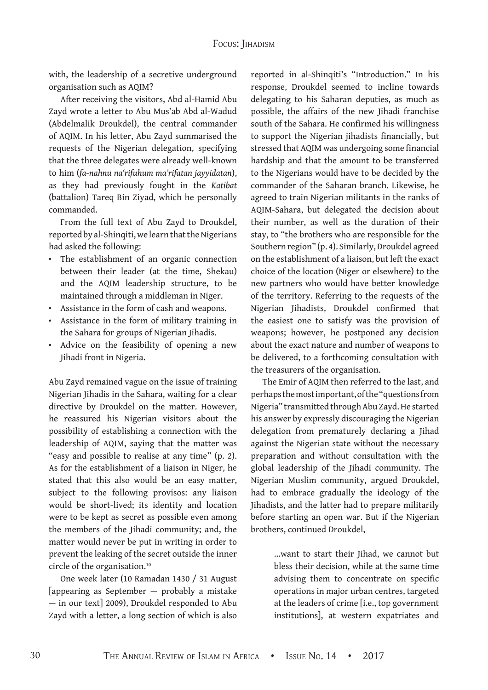with, the leadership of a secretive underground organisation such as AQIM?

After receiving the visitors, Abd al-Hamid Abu Zayd wrote a letter to Abu Mus'ab Abd al-Wadud (Abdelmalik Droukdel), the central commander of AQIM. In his letter, Abu Zayd summarised the requests of the Nigerian delegation, specifying that the three delegates were already well-known to him (*fa-nahnu na'rifuhum ma'rifatan jayyidatan*), as they had previously fought in the *Katibat*  (battalion) Tareq Bin Ziyad, which he personally commanded.

From the full text of Abu Zayd to Droukdel, reported by al-Shinqiti, we learn that the Nigerians had asked the following:

- The establishment of an organic connection between their leader (at the time, Shekau) and the AQIM leadership structure, to be maintained through a middleman in Niger.
- Assistance in the form of cash and weapons.
- Assistance in the form of military training in the Sahara for groups of Nigerian Jihadis.
- Advice on the feasibility of opening a new Jihadi front in Nigeria.

Abu Zayd remained vague on the issue of training Nigerian Jihadis in the Sahara, waiting for a clear directive by Droukdel on the matter. However, he reassured his Nigerian visitors about the possibility of establishing a connection with the leadership of AQIM, saying that the matter was "easy and possible to realise at any time" (p. 2). As for the establishment of a liaison in Niger, he stated that this also would be an easy matter, subject to the following provisos: any liaison would be short-lived; its identity and location were to be kept as secret as possible even among the members of the Jihadi community; and, the matter would never be put in writing in order to prevent the leaking of the secret outside the inner circle of the organisation.10

One week later (10 Ramadan 1430 / 31 August [appearing as September — probably a mistake — in our text] 2009), Droukdel responded to Abu Zayd with a letter, a long section of which is also

reported in al-Shinqiti's "Introduction." In his response, Droukdel seemed to incline towards delegating to his Saharan deputies, as much as possible, the affairs of the new Jihadi franchise south of the Sahara. He confirmed his willingness to support the Nigerian jihadists financially, but stressed that AQIM was undergoing some financial hardship and that the amount to be transferred to the Nigerians would have to be decided by the commander of the Saharan branch. Likewise, he agreed to train Nigerian militants in the ranks of AQIM-Sahara, but delegated the decision about their number, as well as the duration of their stay, to "the brothers who are responsible for the Southern region" (p. 4). Similarly, Droukdel agreed on the establishment of a liaison, but left the exact choice of the location (Niger or elsewhere) to the new partners who would have better knowledge of the territory. Referring to the requests of the Nigerian Jihadists, Droukdel confirmed that the easiest one to satisfy was the provision of weapons; however, he postponed any decision about the exact nature and number of weapons to be delivered, to a forthcoming consultation with the treasurers of the organisation.

The Emir of AQIM then referred to the last, and perhaps the most important, of the "questions from Nigeria" transmitted through Abu Zayd. He started his answer by expressly discouraging the Nigerian delegation from prematurely declaring a Jihad against the Nigerian state without the necessary preparation and without consultation with the global leadership of the Jihadi community. The Nigerian Muslim community, argued Droukdel, had to embrace gradually the ideology of the Jihadists, and the latter had to prepare militarily before starting an open war. But if the Nigerian brothers, continued Droukdel,

> …want to start their Jihad, we cannot but bless their decision, while at the same time advising them to concentrate on specific operations in major urban centres, targeted at the leaders of crime [i.e., top government institutions], at western expatriates and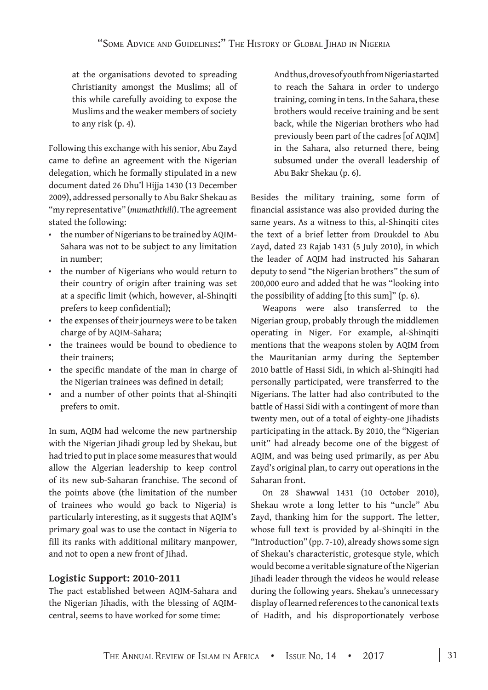at the organisations devoted to spreading Christianity amongst the Muslims; all of this while carefully avoiding to expose the Muslims and the weaker members of society to any risk (p. 4).

Following this exchange with his senior, Abu Zayd came to define an agreement with the Nigerian delegation, which he formally stipulated in a new document dated 26 Dhu'l Hijja 1430 (13 December 2009), addressed personally to Abu Bakr Shekau as "my representative" (*mumaththili*). The agreement stated the following:

- the number of Nigerians to be trained by AQIM-Sahara was not to be subject to any limitation in number;
- the number of Nigerians who would return to their country of origin after training was set at a specific limit (which, however, al-Shinqiti prefers to keep confidential);
- the expenses of their journeys were to be taken charge of by AQIM-Sahara;
- the trainees would be bound to obedience to their trainers;
- the specific mandate of the man in charge of the Nigerian trainees was defined in detail;
- and a number of other points that al-Shinqiti prefers to omit.

In sum, AQIM had welcome the new partnership with the Nigerian Jihadi group led by Shekau, but had tried to put in place some measures that would allow the Algerian leadership to keep control of its new sub-Saharan franchise. The second of the points above (the limitation of the number of trainees who would go back to Nigeria) is particularly interesting, as it suggests that AQIM's primary goal was to use the contact in Nigeria to fill its ranks with additional military manpower, and not to open a new front of Jihad.

## **Logistic Support: 2010-2011**

The pact established between AQIM-Sahara and the Nigerian Jihadis, with the blessing of AQIMcentral, seems to have worked for some time:

And thus, droves of youth from Nigeria started to reach the Sahara in order to undergo training, coming in tens. In the Sahara, these brothers would receive training and be sent back, while the Nigerian brothers who had previously been part of the cadres [of AQIM] in the Sahara, also returned there, being subsumed under the overall leadership of Abu Bakr Shekau (p. 6).

Besides the military training, some form of financial assistance was also provided during the same years. As a witness to this, al-Shinqiti cites the text of a brief letter from Droukdel to Abu Zayd, dated 23 Rajab 1431 (5 July 2010), in which the leader of AQIM had instructed his Saharan deputy to send "the Nigerian brothers" the sum of 200,000 euro and added that he was "looking into the possibility of adding [to this sum]" (p. 6).

Weapons were also transferred to the Nigerian group, probably through the middlemen operating in Niger. For example, al-Shinqiti mentions that the weapons stolen by AQIM from the Mauritanian army during the September 2010 battle of Hassi Sidi, in which al-Shinqiti had personally participated, were transferred to the Nigerians. The latter had also contributed to the battle of Hassi Sidi with a contingent of more than twenty men, out of a total of eighty-one Jihadists participating in the attack. By 2010, the "Nigerian unit" had already become one of the biggest of AQIM, and was being used primarily, as per Abu Zayd's original plan, to carry out operations in the Saharan front.

On 28 Shawwal 1431 (10 October 2010), Shekau wrote a long letter to his "uncle" Abu Zayd, thanking him for the support. The letter, whose full text is provided by al-Shinqiti in the "Introduction" (pp. 7-10), already shows some sign of Shekau's characteristic, grotesque style, which would become a veritable signature of the Nigerian Jihadi leader through the videos he would release during the following years. Shekau's unnecessary display of learned references to the canonical texts of Hadith, and his disproportionately verbose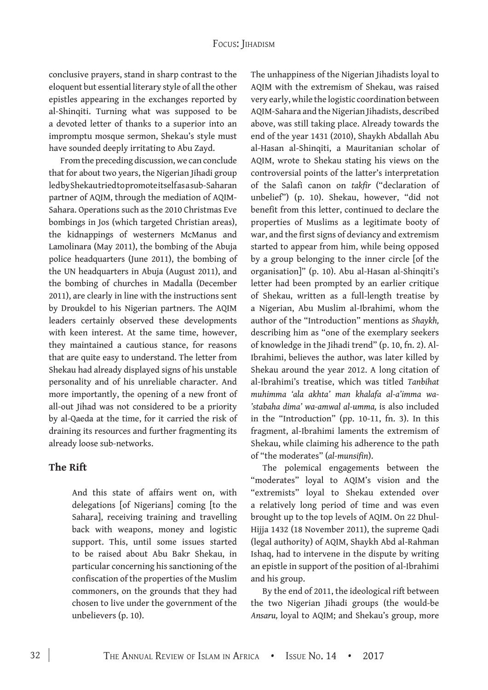#### Focus: Jihadism

conclusive prayers, stand in sharp contrast to the eloquent but essential literary style of all the other epistles appearing in the exchanges reported by al-Shinqiti. Turning what was supposed to be a devoted letter of thanks to a superior into an impromptu mosque sermon, Shekau's style must have sounded deeply irritating to Abu Zayd.

From the preceding discussion, we can conclude that for about two years, the Nigerian Jihadi group led by Shekau tried to promote itself as a sub-Saharan partner of AQIM, through the mediation of AQIM-Sahara. Operations such as the 2010 Christmas Eve bombings in Jos (which targeted Christian areas), the kidnappings of westerners McManus and Lamolinara (May 2011), the bombing of the Abuja police headquarters (June 2011), the bombing of the UN headquarters in Abuja (August 2011), and the bombing of churches in Madalla (December 2011), are clearly in line with the instructions sent by Droukdel to his Nigerian partners. The AQIM leaders certainly observed these developments with keen interest. At the same time, however, they maintained a cautious stance, for reasons that are quite easy to understand. The letter from Shekau had already displayed signs of his unstable personality and of his unreliable character. And more importantly, the opening of a new front of all-out Jihad was not considered to be a priority by al-Qaeda at the time, for it carried the risk of draining its resources and further fragmenting its already loose sub-networks.

#### **The Rift**

And this state of affairs went on, with delegations [of Nigerians] coming [to the Sahara], receiving training and travelling back with weapons, money and logistic support. This, until some issues started to be raised about Abu Bakr Shekau, in particular concerning his sanctioning of the confiscation of the properties of the Muslim commoners, on the grounds that they had chosen to live under the government of the unbelievers (p. 10).

The unhappiness of the Nigerian Jihadists loyal to AQIM with the extremism of Shekau, was raised very early, while the logistic coordination between AQIM-Sahara and the Nigerian Jihadists, described above, was still taking place. Already towards the end of the year 1431 (2010), Shaykh Abdallah Abu al-Hasan al-Shinqiti, a Mauritanian scholar of AQIM, wrote to Shekau stating his views on the controversial points of the latter's interpretation of the Salafi canon on *takfir* ("declaration of unbelief") (p. 10). Shekau, however, "did not benefit from this letter, continued to declare the properties of Muslims as a legitimate booty of war, and the first signs of deviancy and extremism started to appear from him, while being opposed by a group belonging to the inner circle [of the organisation]" (p. 10). Abu al-Hasan al-Shinqiti's letter had been prompted by an earlier critique of Shekau, written as a full-length treatise by a Nigerian, Abu Muslim al-Ibrahimi, whom the author of the "Introduction" mentions as *Shaykh,*  describing him as "one of the exemplary seekers of knowledge in the Jihadi trend" (p. 10, fn. 2). Al-Ibrahimi, believes the author, was later killed by Shekau around the year 2012. A long citation of al-Ibrahimi's treatise, which was titled *Tanbihat muhimma 'ala akhta' man khalafa al-a'imma wa- 'stabaha dima' wa-amwal al-umma,* is also included in the "Introduction" (pp. 10-11, fn. 3). In this fragment, al-Ibrahimi laments the extremism of Shekau, while claiming his adherence to the path of "the moderates" (*al-munsifin*).

The polemical engagements between the "moderates" loyal to AQIM's vision and the "extremists" loyal to Shekau extended over a relatively long period of time and was even brought up to the top levels of AQIM. On 22 Dhul-Hijja 1432 (18 November 2011), the supreme Qadi (legal authority) of AQIM, Shaykh Abd al-Rahman Ishaq, had to intervene in the dispute by writing an epistle in support of the position of al-Ibrahimi and his group.

By the end of 2011, the ideological rift between the two Nigerian Jihadi groups (the would-be *Ansaru,* loyal to AQIM; and Shekau's group, more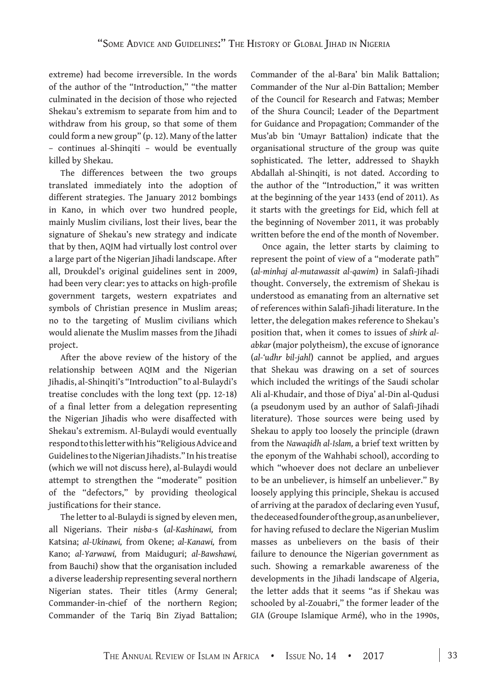extreme) had become irreversible. In the words of the author of the "Introduction," "the matter culminated in the decision of those who rejected Shekau's extremism to separate from him and to withdraw from his group, so that some of them could form a new group" (p. 12). Many of the latter – continues al-Shinqiti – would be eventually killed by Shekau.

The differences between the two groups translated immediately into the adoption of different strategies. The January 2012 bombings in Kano, in which over two hundred people, mainly Muslim civilians, lost their lives, bear the signature of Shekau's new strategy and indicate that by then, AQIM had virtually lost control over a large part of the Nigerian Jihadi landscape. After all, Droukdel's original guidelines sent in 2009, had been very clear: yes to attacks on high-profile government targets, western expatriates and symbols of Christian presence in Muslim areas; no to the targeting of Muslim civilians which would alienate the Muslim masses from the Jihadi project.

After the above review of the history of the relationship between AQIM and the Nigerian Jihadis, al-Shinqiti's "Introduction" to al-Bulaydi's treatise concludes with the long text (pp. 12-18) of a final letter from a delegation representing the Nigerian Jihadis who were disaffected with Shekau's extremism. Al-Bulaydi would eventually respond to this letter with his "Religious Advice and Guidelines to the Nigerian Jihadists." In his treatise (which we will not discuss here), al-Bulaydi would attempt to strengthen the "moderate" position of the "defectors," by providing theological justifications for their stance.

The letter to al-Bulaydi is signed by eleven men, all Nigerians. Their *nisba-*s (*al-Kashinawi,* from Katsina; *al-Ukinawi,* from Okene; *al-Kanawi,* from Kano; *al-Yarwawi,* from Maiduguri; *al-Bawshawi,* from Bauchi) show that the organisation included a diverse leadership representing several northern Nigerian states. Their titles (Army General; Commander-in-chief of the northern Region; Commander of the Tariq Bin Ziyad Battalion;

Commander of the al-Bara' bin Malik Battalion; Commander of the Nur al-Din Battalion; Member of the Council for Research and Fatwas; Member of the Shura Council; Leader of the Department for Guidance and Propagation; Commander of the Mus'ab bin 'Umayr Battalion) indicate that the organisational structure of the group was quite sophisticated. The letter, addressed to Shaykh Abdallah al-Shinqiti, is not dated. According to the author of the "Introduction," it was written at the beginning of the year 1433 (end of 2011). As it starts with the greetings for Eid, which fell at the beginning of November 2011, it was probably written before the end of the month of November.

Once again, the letter starts by claiming to represent the point of view of a "moderate path" (*al-minhaj al-mutawassit al-qawim*) in Salafi-Jihadi thought. Conversely, the extremism of Shekau is understood as emanating from an alternative set of references within Salafi-Jihadi literature. In the letter, the delegation makes reference to Shekau's position that, when it comes to issues of *shirk alabkar* (major polytheism), the excuse of ignorance (*al-'udhr bil-jahl*) cannot be applied, and argues that Shekau was drawing on a set of sources which included the writings of the Saudi scholar Ali al-Khudair, and those of Diya' al-Din al-Qudusi (a pseudonym used by an author of Salafi-Jihadi literature). Those sources were being used by Shekau to apply too loosely the principle (drawn from the *Nawaqidh al-Islam,* a brief text written by the eponym of the Wahhabi school), according to which "whoever does not declare an unbeliever to be an unbeliever, is himself an unbeliever." By loosely applying this principle, Shekau is accused of arriving at the paradox of declaring even Yusuf, the deceased founder of the group, as an unbeliever, for having refused to declare the Nigerian Muslim masses as unbelievers on the basis of their failure to denounce the Nigerian government as such. Showing a remarkable awareness of the developments in the Jihadi landscape of Algeria, the letter adds that it seems "as if Shekau was schooled by al-Zouabri," the former leader of the GIA (Groupe Islamique Armé), who in the 1990s,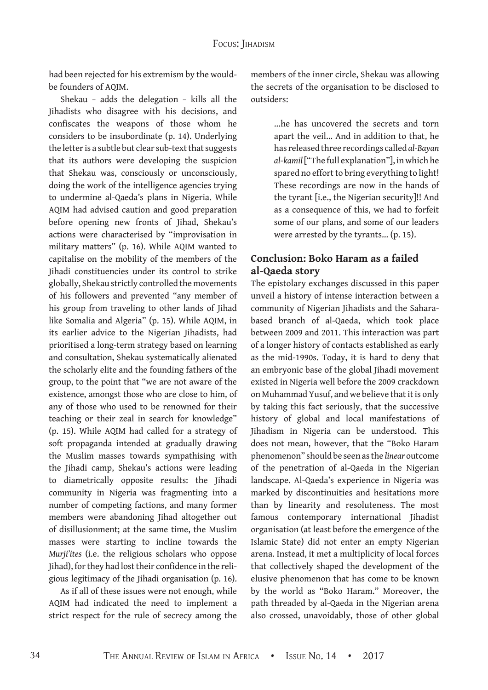had been rejected for his extremism by the wouldbe founders of AQIM.

Shekau *–* adds the delegation *–* kills all the Jihadists who disagree with his decisions, and confiscates the weapons of those whom he considers to be insubordinate (p. 14). Underlying the letter is a subtle but clear sub-text that suggests that its authors were developing the suspicion that Shekau was, consciously or unconsciously, doing the work of the intelligence agencies trying to undermine al-Qaeda's plans in Nigeria. While AQIM had advised caution and good preparation before opening new fronts of Jihad, Shekau's actions were characterised by "improvisation in military matters" (p. 16). While AQIM wanted to capitalise on the mobility of the members of the Jihadi constituencies under its control to strike globally, Shekau strictly controlled the movements of his followers and prevented "any member of his group from traveling to other lands of Jihad like Somalia and Algeria" (p. 15). While AQIM, in its earlier advice to the Nigerian Jihadists, had prioritised a long-term strategy based on learning and consultation, Shekau systematically alienated the scholarly elite and the founding fathers of the group, to the point that "we are not aware of the existence, amongst those who are close to him, of any of those who used to be renowned for their teaching or their zeal in search for knowledge" (p. 15). While AQIM had called for a strategy of soft propaganda intended at gradually drawing the Muslim masses towards sympathising with the Jihadi camp, Shekau's actions were leading to diametrically opposite results: the Jihadi community in Nigeria was fragmenting into a number of competing factions, and many former members were abandoning Jihad altogether out of disillusionment; at the same time, the Muslim masses were starting to incline towards the *Murji'ites* (i.e. the religious scholars who oppose Jihad), for they had lost their confidence in the religious legitimacy of the Jihadi organisation (p. 16).

As if all of these issues were not enough, while AQIM had indicated the need to implement a strict respect for the rule of secrecy among the members of the inner circle, Shekau was allowing the secrets of the organisation to be disclosed to outsiders:

> …he has uncovered the secrets and torn apart the veil… And in addition to that, he has released three recordings called *al-Bayan al-kamil* ["The full explanation"], in which he spared no effort to bring everything to light! These recordings are now in the hands of the tyrant [i.e., the Nigerian security]!! And as a consequence of this, we had to forfeit some of our plans, and some of our leaders were arrested by the tyrants… (p. 15).

### **Conclusion: Boko Haram as a failed al-Qaeda story**

The epistolary exchanges discussed in this paper unveil a history of intense interaction between a community of Nigerian Jihadists and the Saharabased branch of al-Qaeda, which took place between 2009 and 2011. This interaction was part of a longer history of contacts established as early as the mid-1990s. Today, it is hard to deny that an embryonic base of the global Jihadi movement existed in Nigeria well before the 2009 crackdown on Muhammad Yusuf, and we believe that it is only by taking this fact seriously, that the successive history of global and local manifestations of Jihadism in Nigeria can be understood. This does not mean, however, that the "Boko Haram phenomenon" should be seen as the *linear* outcome of the penetration of al-Qaeda in the Nigerian landscape. Al-Qaeda's experience in Nigeria was marked by discontinuities and hesitations more than by linearity and resoluteness. The most famous contemporary international Jihadist organisation (at least before the emergence of the Islamic State) did not enter an empty Nigerian arena. Instead, it met a multiplicity of local forces that collectively shaped the development of the elusive phenomenon that has come to be known by the world as "Boko Haram." Moreover, the path threaded by al-Qaeda in the Nigerian arena also crossed, unavoidably, those of other global